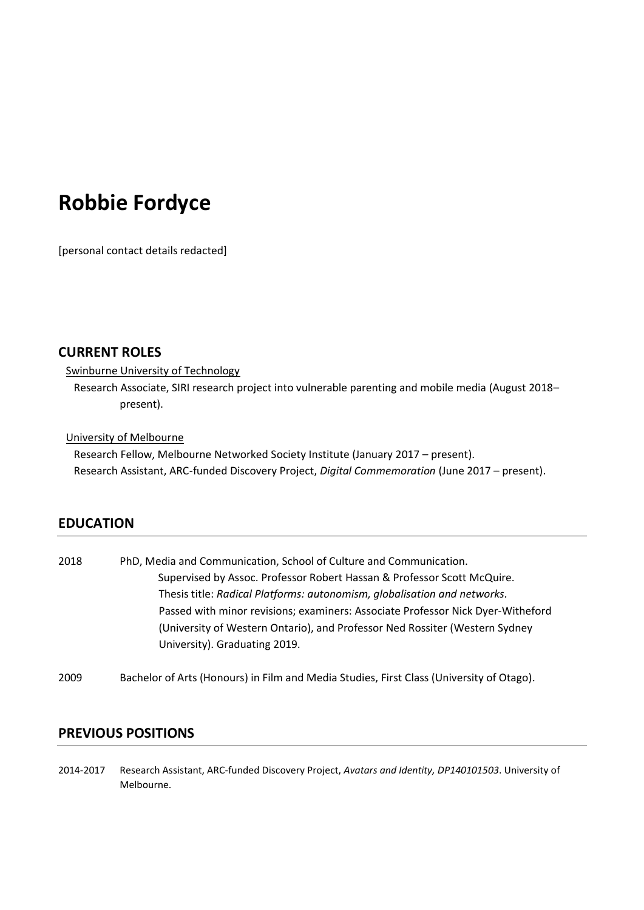# **Robbie Fordyce**

[personal contact details redacted]

# **CURRENT ROLES**

### Swinburne University of Technology

Research Associate, SIRI research project into vulnerable parenting and mobile media (August 2018– present).

# University of Melbourne

Research Fellow, Melbourne Networked Society Institute (January 2017 – present). Research Assistant, ARC-funded Discovery Project, *Digital Commemoration* (June 2017 – present).

# **EDUCATION**

| 2018 | PhD, Media and Communication, School of Culture and Communication.              |
|------|---------------------------------------------------------------------------------|
|      | Supervised by Assoc. Professor Robert Hassan & Professor Scott McQuire.         |
|      | Thesis title: Radical Platforms: autonomism, globalisation and networks.        |
|      | Passed with minor revisions; examiners: Associate Professor Nick Dyer-Witheford |
|      | (University of Western Ontario), and Professor Ned Rossiter (Western Sydney     |
|      | University). Graduating 2019.                                                   |

2009 Bachelor of Arts (Honours) in Film and Media Studies, First Class (University of Otago).

# **PREVIOUS POSITIONS**

2014-2017 Research Assistant, ARC-funded Discovery Project, *Avatars and Identity, DP140101503*. University of Melbourne.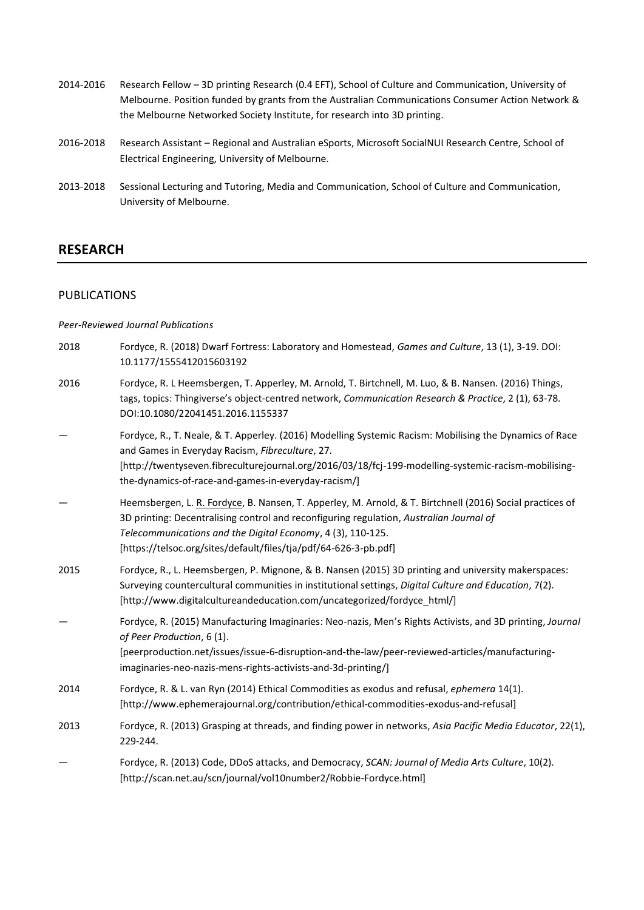| 2014-2016 | Research Fellow - 3D printing Research (0.4 EFT), School of Culture and Communication, University of |
|-----------|------------------------------------------------------------------------------------------------------|
|           | Melbourne. Position funded by grants from the Australian Communications Consumer Action Network &    |
|           | the Melbourne Networked Society Institute, for research into 3D printing.                            |
|           |                                                                                                      |

- 2016-2018 Research Assistant Regional and Australian eSports, Microsoft SocialNUI Research Centre, School of Electrical Engineering, University of Melbourne.
- 2013-2018 Sessional Lecturing and Tutoring, Media and Communication, School of Culture and Communication, University of Melbourne.

# **RESEARCH**

# PUBLICATIONS

## *Peer-Reviewed Journal Publications*

| 2018 | Fordyce, R. (2018) Dwarf Fortress: Laboratory and Homestead, Games and Culture, 13 (1), 3-19. DOI:<br>10.1177/1555412015603192                                                                                                                                                                                                          |
|------|-----------------------------------------------------------------------------------------------------------------------------------------------------------------------------------------------------------------------------------------------------------------------------------------------------------------------------------------|
| 2016 | Fordyce, R. L Heemsbergen, T. Apperley, M. Arnold, T. Birtchnell, M. Luo, & B. Nansen. (2016) Things,<br>tags, topics: Thingiverse's object-centred network, Communication Research & Practice, 2 (1), 63-78.<br>DOI:10.1080/22041451.2016.1155337                                                                                      |
|      | Fordyce, R., T. Neale, & T. Apperley. (2016) Modelling Systemic Racism: Mobilising the Dynamics of Race<br>and Games in Everyday Racism, Fibreculture, 27.<br>[http://twentyseven.fibreculturejournal.org/2016/03/18/fcj-199-modelling-systemic-racism-mobilising-<br>the-dynamics-of-race-and-games-in-everyday-racism/]               |
|      | Heemsbergen, L. R. Fordyce, B. Nansen, T. Apperley, M. Arnold, & T. Birtchnell (2016) Social practices of<br>3D printing: Decentralising control and reconfiguring regulation, Australian Journal of<br>Telecommunications and the Digital Economy, 4 (3), 110-125.<br>[https://telsoc.org/sites/default/files/tja/pdf/64-626-3-pb.pdf] |
| 2015 | Fordyce, R., L. Heemsbergen, P. Mignone, & B. Nansen (2015) 3D printing and university makerspaces:<br>Surveying countercultural communities in institutional settings, Digital Culture and Education, 7(2).<br>[/http://www.digitalcultureandeducation.com/uncategorized/fordyce_html]                                                 |
|      | Fordyce, R. (2015) Manufacturing Imaginaries: Neo-nazis, Men's Rights Activists, and 3D printing, Journal<br>of Peer Production, 6 (1).<br>[peerproduction.net/issues/issue-6-disruption-and-the-law/peer-reviewed-articles/manufacturing-<br>imaginaries-neo-nazis-mens-rights-activists-and-3d-printing/]                             |
| 2014 | Fordyce, R. & L. van Ryn (2014) Ethical Commodities as exodus and refusal, ephemera 14(1).<br>[http://www.ephemerajournal.org/contribution/ethical-commodities-exodus-and-refusal]                                                                                                                                                      |
| 2013 | Fordyce, R. (2013) Grasping at threads, and finding power in networks, Asia Pacific Media Educator, 22(1),<br>229-244.                                                                                                                                                                                                                  |
|      | Fordyce, R. (2013) Code, DDoS attacks, and Democracy, SCAN: Journal of Media Arts Culture, 10(2).<br>[http://scan.net.au/scn/journal/vol10number2/Robbie-Fordyce.html]                                                                                                                                                                  |
|      |                                                                                                                                                                                                                                                                                                                                         |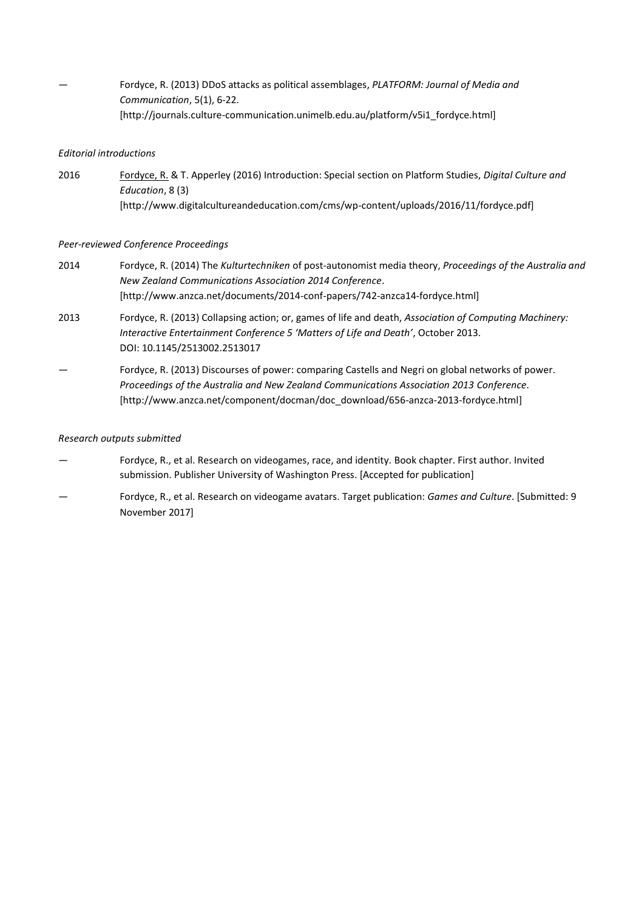— Fordyce, R. (2013) DDoS attacks as political assemblages, *PLATFORM: Journal of Media and Communication*, 5(1), 6-22. [http://journals.culture-communication.unimelb.edu.au/platform/v5i1\_fordyce.html]

### *Editorial introductions*

2016 Fordyce, R. & T. Apperley (2016) Introduction: Special section on Platform Studies, *Digital Culture and Education*, 8 (3) [http://www.digitalcultureandeducation.com/cms/wp-content/uploads/2016/11/fordyce.pdf]

### *Peer-reviewed Conference Proceedings*

- 2014 Fordyce, R. (2014) The *Kulturtechniken* of post-autonomist media theory, *Proceedings of the Australia and New Zealand Communications Association 2014 Conference*. [http://www.anzca.net/documents/2014-conf-papers/742-anzca14-fordyce.html]
- 2013 Fordyce, R. (2013) Collapsing action; or, games of life and death, *Association of Computing Machinery: Interactive Entertainment Conference 5 'Matters of Life and Death'*, October 2013. DOI: 10.1145/2513002.2513017
- Fordyce, R. (2013) Discourses of power: comparing Castells and Negri on global networks of power. *Proceedings of the Australia and New Zealand Communications Association 2013 Conference*. [http://www.anzca.net/component/docman/doc\_download/656-anzca-2013-fordyce.html]

### *Research outputs submitted*

- Fordyce, R., et al. Research on videogames, race, and identity. Book chapter. First author. Invited submission. Publisher University of Washington Press. [Accepted for publication]
- Fordyce, R., et al. Research on videogame avatars. Target publication: *Games and Culture*. [Submitted: 9 November 2017]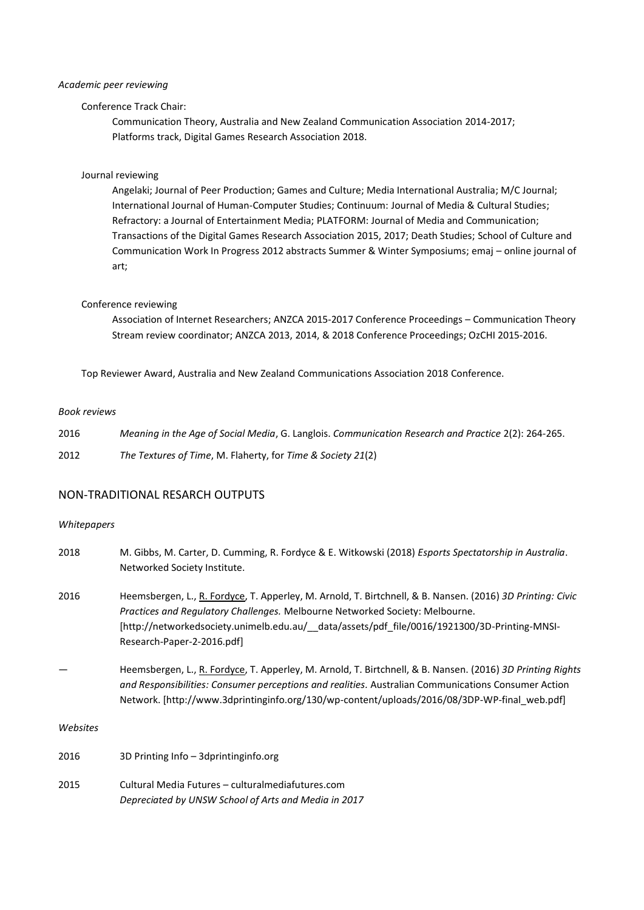#### *Academic peer reviewing*

# Conference Track Chair:

Communication Theory, Australia and New Zealand Communication Association 2014-2017; Platforms track, Digital Games Research Association 2018.

#### Journal reviewing

Angelaki; Journal of Peer Production; Games and Culture; Media International Australia; M/C Journal; International Journal of Human-Computer Studies; Continuum: Journal of Media & Cultural Studies; Refractory: a Journal of Entertainment Media; PLATFORM: Journal of Media and Communication; Transactions of the Digital Games Research Association 2015, 2017; Death Studies; School of Culture and Communication Work In Progress 2012 abstracts Summer & Winter Symposiums; emaj – online journal of art;

#### Conference reviewing

Association of Internet Researchers; ANZCA 2015-2017 Conference Proceedings – Communication Theory Stream review coordinator; ANZCA 2013, 2014, & 2018 Conference Proceedings; OzCHI 2015-2016.

Top Reviewer Award, Australia and New Zealand Communications Association 2018 Conference.

#### *Book reviews*

| 2016 | Meaning in the Age of Social Media, G. Langlois. Communication Research and Practice 2(2): 264-265. |
|------|-----------------------------------------------------------------------------------------------------|
| 2012 | The Textures of Time, M. Flaherty, for Time & Society 21(2)                                         |

# NON-TRADITIONAL RESARCH OUTPUTS

### *Whitepapers*

| 2018     | M. Gibbs, M. Carter, D. Cumming, R. Fordyce & E. Witkowski (2018) Esports Spectatorship in Australia.<br>Networked Society Institute.                                                                                                                                                                                    |
|----------|--------------------------------------------------------------------------------------------------------------------------------------------------------------------------------------------------------------------------------------------------------------------------------------------------------------------------|
| 2016     | Heemsbergen, L., R. Fordyce, T. Apperley, M. Arnold, T. Birtchnell, & B. Nansen. (2016) 3D Printing: Civic<br>Practices and Regulatory Challenges. Melbourne Networked Society: Melbourne.<br>[http://networkedsociety.unimelb.edu.au/_data/assets/pdf_file/0016/1921300/3D-Printing-MNSI-<br>Research-Paper-2-2016.pdf] |
|          | Heemsbergen, L., R. Fordyce, T. Apperley, M. Arnold, T. Birtchnell, & B. Nansen. (2016) 3D Printing Rights<br>and Responsibilities: Consumer perceptions and realities. Australian Communications Consumer Action<br>Network. [http://www.3dprintinginfo.org/130/wp-content/uploads/2016/08/3DP-WP-final web.pdf]        |
| Websites |                                                                                                                                                                                                                                                                                                                          |
| 2016     | 3D Printing Info – 3dprintinginfo.org                                                                                                                                                                                                                                                                                    |

2015 Cultural Media Futures – culturalmediafutures.com *Depreciated by UNSW School of Arts and Media in 2017*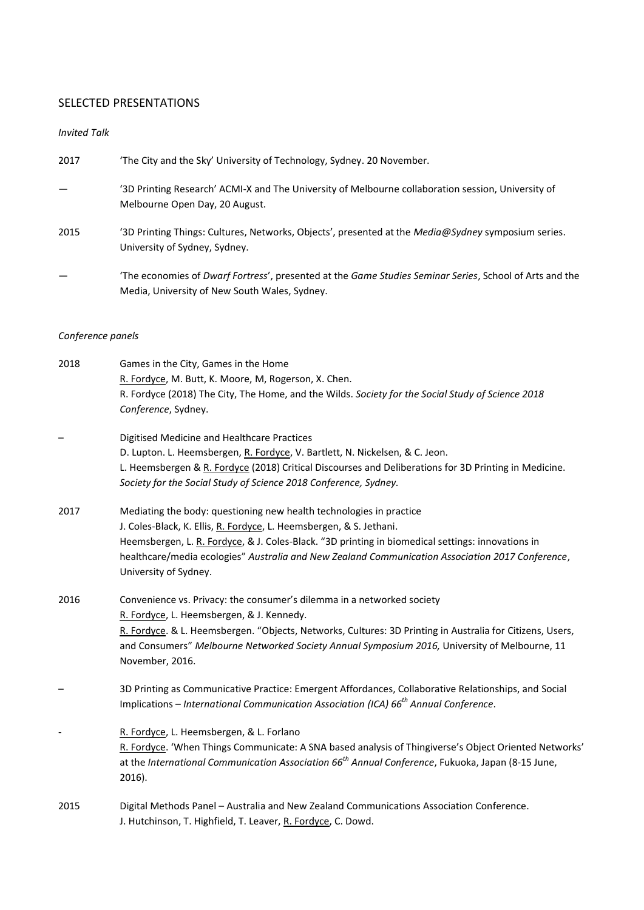# SELECTED PRESENTATIONS

# *Invited Talk*

| 2017 | 'The City and the Sky' University of Technology, Sydney. 20 November.                                                                                    |
|------|----------------------------------------------------------------------------------------------------------------------------------------------------------|
|      | '3D Printing Research' ACMI-X and The University of Melbourne collaboration session, University of<br>Melbourne Open Day, 20 August.                     |
| 2015 | '3D Printing Things: Cultures, Networks, Objects', presented at the <i>Media@Sydney</i> symposium series.<br>University of Sydney, Sydney.               |
|      | 'The economies of Dwarf Fortress', presented at the Game Studies Seminar Series, School of Arts and the<br>Media, University of New South Wales, Sydney. |

# *Conference panels*

| 2018 | Games in the City, Games in the Home                                                                          |
|------|---------------------------------------------------------------------------------------------------------------|
|      | R. Fordyce, M. Butt, K. Moore, M, Rogerson, X. Chen.                                                          |
|      | R. Fordyce (2018) The City, The Home, and the Wilds. Society for the Social Study of Science 2018             |
|      | Conference, Sydney.                                                                                           |
|      | Digitised Medicine and Healthcare Practices                                                                   |
|      | D. Lupton. L. Heemsbergen, R. Fordyce, V. Bartlett, N. Nickelsen, & C. Jeon.                                  |
|      | L. Heemsbergen & R. Fordyce (2018) Critical Discourses and Deliberations for 3D Printing in Medicine.         |
|      | Society for the Social Study of Science 2018 Conference, Sydney.                                              |
| 2017 | Mediating the body: questioning new health technologies in practice                                           |
|      | J. Coles-Black, K. Ellis, R. Fordyce, L. Heemsbergen, & S. Jethani.                                           |
|      | Heemsbergen, L. R. Fordyce, & J. Coles-Black. "3D printing in biomedical settings: innovations in             |
|      | healthcare/media ecologies" Australia and New Zealand Communication Association 2017 Conference,              |
|      | University of Sydney.                                                                                         |
| 2016 | Convenience vs. Privacy: the consumer's dilemma in a networked society                                        |
|      | R. Fordyce, L. Heemsbergen, & J. Kennedy.                                                                     |
|      | R. Fordyce. & L. Heemsbergen. "Objects, Networks, Cultures: 3D Printing in Australia for Citizens, Users,     |
|      | and Consumers" Melbourne Networked Society Annual Symposium 2016, University of Melbourne, 11                 |
|      | November, 2016.                                                                                               |
|      | 3D Printing as Communicative Practice: Emergent Affordances, Collaborative Relationships, and Social          |
|      | Implications – International Communication Association (ICA) 66 <sup>th</sup> Annual Conference.              |
|      | R. Fordyce, L. Heemsbergen, & L. Forlano                                                                      |
|      | R. Fordyce. 'When Things Communicate: A SNA based analysis of Thingiverse's Object Oriented Networks'         |
|      | at the International Communication Association 66 <sup>th</sup> Annual Conference, Fukuoka, Japan (8-15 June, |
|      | 2016).                                                                                                        |
| 2015 | Digital Methods Panel - Australia and New Zealand Communications Association Conference.                      |
|      | J. Hutchinson, T. Highfield, T. Leaver, R. Fordyce, C. Dowd.                                                  |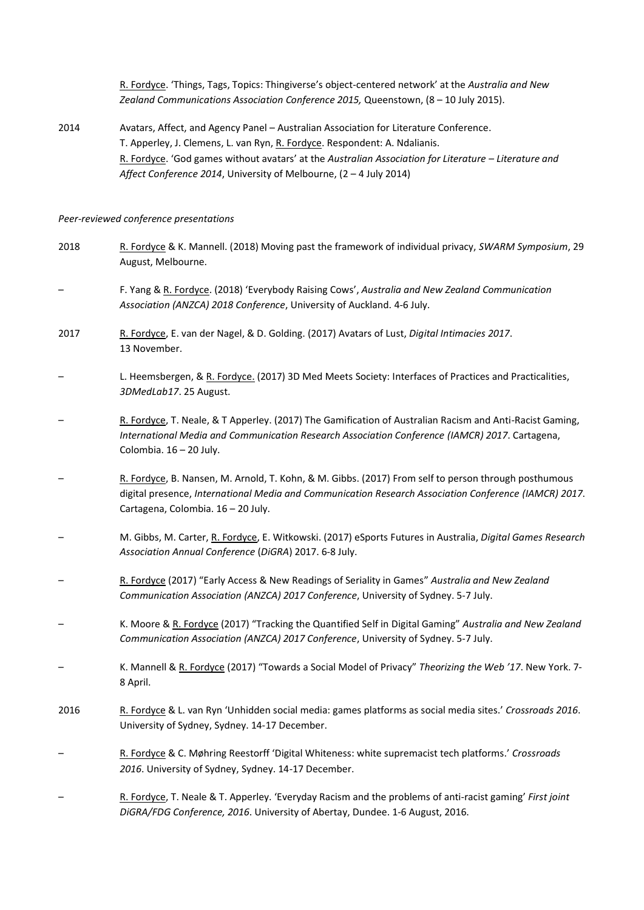R. Fordyce. 'Things, Tags, Topics: Thingiverse's object-centered network' at the *Australia and New Zealand Communications Association Conference 2015,* Queenstown, (8 – 10 July 2015).

2014 Avatars, Affect, and Agency Panel – Australian Association for Literature Conference. T. Apperley, J. Clemens, L. van Ryn, R. Fordyce. Respondent: A. Ndalianis. R. Fordyce. 'God games without avatars' at the *Australian Association for Literature – Literature and Affect Conference 2014*, University of Melbourne, (2 – 4 July 2014)

#### *Peer-reviewed conference presentations*

2018 R. Fordyce & K. Mannell. (2018) Moving past the framework of individual privacy, *SWARM Symposium*, 29 August, Melbourne. – F. Yang & R. Fordyce. (2018) 'Everybody Raising Cows', *Australia and New Zealand Communication Association (ANZCA) 2018 Conference*, University of Auckland. 4-6 July. 2017 R. Fordyce, E. van der Nagel, & D. Golding. (2017) Avatars of Lust, *Digital Intimacies 2017*. 13 November. – L. Heemsbergen, & R. Fordyce. (2017) 3D Med Meets Society: Interfaces of Practices and Practicalities, *3DMedLab17*. 25 August. – R. Fordyce, T. Neale, & T Apperley. (2017) The Gamification of Australian Racism and Anti-Racist Gaming, *International Media and Communication Research Association Conference (IAMCR) 2017*. Cartagena, Colombia. 16 – 20 July. – R. Fordyce, B. Nansen, M. Arnold, T. Kohn, & M. Gibbs. (2017) From self to person through posthumous digital presence, *International Media and Communication Research Association Conference (IAMCR) 2017*. Cartagena, Colombia. 16 – 20 July. – M. Gibbs, M. Carter, R. Fordyce, E. Witkowski. (2017) eSports Futures in Australia, *Digital Games Research Association Annual Conference* (*DiGRA*) 2017. 6-8 July. – R. Fordyce (2017) "Early Access & New Readings of Seriality in Games" *Australia and New Zealand Communication Association (ANZCA) 2017 Conference*, University of Sydney. 5-7 July. – K. Moore & R. Fordyce (2017) "Tracking the Quantified Self in Digital Gaming" *Australia and New Zealand Communication Association (ANZCA) 2017 Conference*, University of Sydney. 5-7 July. – K. Mannell & R. Fordyce (2017) "Towards a Social Model of Privacy" *Theorizing the Web '17*. New York. 7- 8 April. 2016 R. Fordyce & L. van Ryn 'Unhidden social media: games platforms as social media sites.' *Crossroads 2016*. University of Sydney, Sydney. 14-17 December. – R. Fordyce & C. Møhring Reestorff 'Digital Whiteness: white supremacist tech platforms.' *Crossroads 2016*. University of Sydney, Sydney. 14-17 December. – R. Fordyce, T. Neale & T. Apperley. 'Everyday Racism and the problems of anti-racist gaming' *First joint DiGRA/FDG Conference, 2016*. University of Abertay, Dundee. 1-6 August, 2016.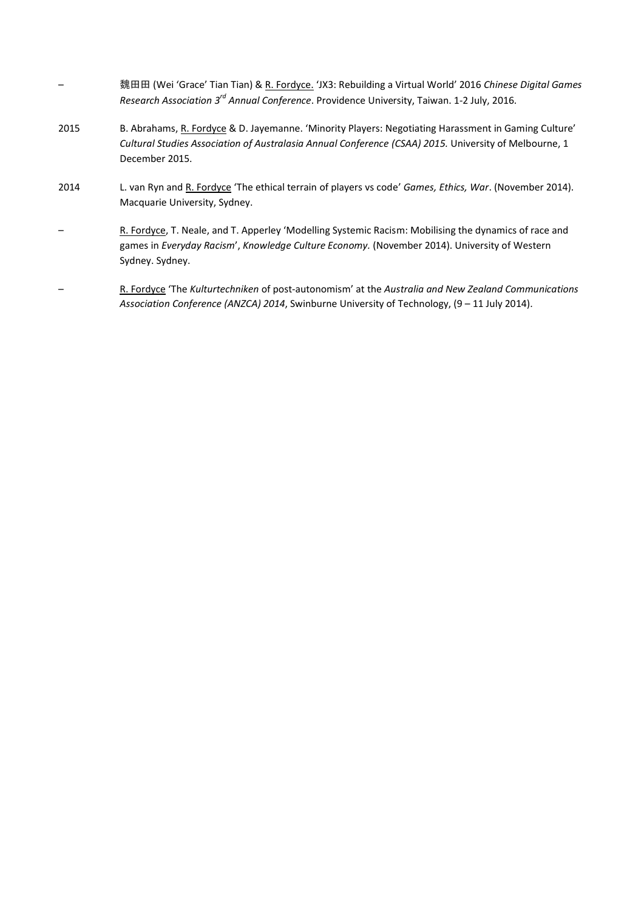|      | 魏田田 (Wei 'Grace' Tian Tian) & R. Fordyce. 'JX3: Rebuilding a Virtual World' 2016 Chinese Digital Games<br>Research Association 3 <sup>rd</sup> Annual Conference. Providence University, Taiwan. 1-2 July, 2016.                |
|------|---------------------------------------------------------------------------------------------------------------------------------------------------------------------------------------------------------------------------------|
| 2015 | B. Abrahams, R. Fordyce & D. Jayemanne. 'Minority Players: Negotiating Harassment in Gaming Culture'<br>Cultural Studies Association of Australasia Annual Conference (CSAA) 2015. University of Melbourne, 1<br>December 2015. |
| 2014 | L. van Ryn and R. Fordyce 'The ethical terrain of players vs code' Games, Ethics, War. (November 2014).<br>Macquarie University, Sydney.                                                                                        |
|      | R. Fordyce, T. Neale, and T. Apperley 'Modelling Systemic Racism: Mobilising the dynamics of race and<br>games in Everyday Racism', Knowledge Culture Economy. (November 2014). University of Western<br>Sydney. Sydney.        |
|      | R. Fordyce 'The Kulturtechniken of post-autonomism' at the Australia and New Zealand Communications                                                                                                                             |

*Association Conference (ANZCA) 2014*, Swinburne University of Technology, (9 – 11 July 2014).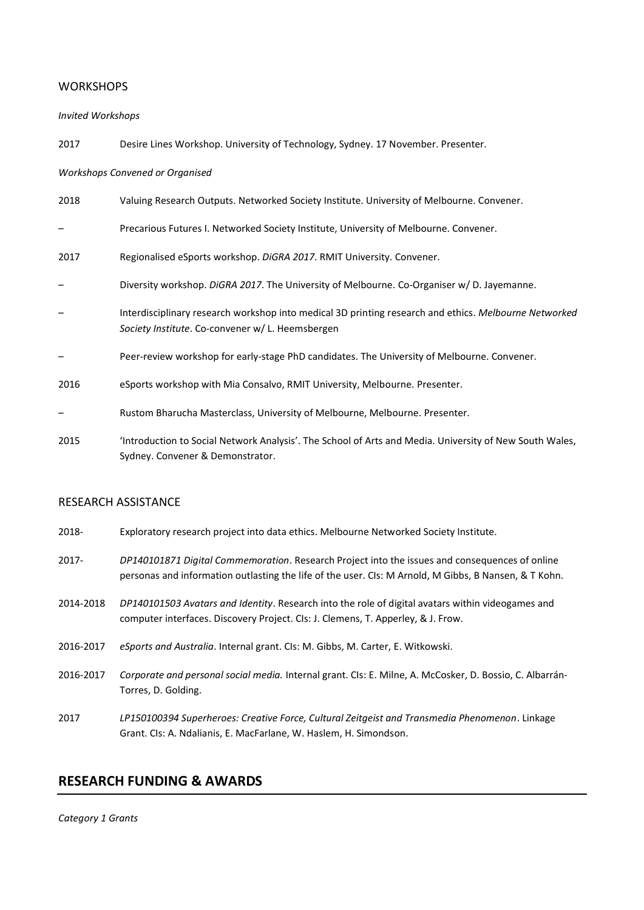# **WORKSHOPS**

#### *Invited Workshops*

2017 Desire Lines Workshop. University of Technology, Sydney. 17 November. Presenter.

#### *Workshops Convened or Organised*

| 2018                     | Valuing Research Outputs. Networked Society Institute. University of Melbourne. Convener.                                                                 |
|--------------------------|-----------------------------------------------------------------------------------------------------------------------------------------------------------|
|                          | Precarious Futures I. Networked Society Institute, University of Melbourne. Convener.                                                                     |
| 2017                     | Regionalised eSports workshop. DiGRA 2017. RMIT University. Convener.                                                                                     |
|                          | Diversity workshop. DiGRA 2017. The University of Melbourne. Co-Organiser w/D. Jayemanne.                                                                 |
| $\overline{\phantom{m}}$ | Interdisciplinary research workshop into medical 3D printing research and ethics. Melbourne Networked<br>Society Institute. Co-convener w/ L. Heemsbergen |
|                          | Peer-review workshop for early-stage PhD candidates. The University of Melbourne. Convener.                                                               |
| 2016                     | eSports workshop with Mia Consalvo, RMIT University, Melbourne. Presenter.                                                                                |
| $\overline{\phantom{m}}$ | Rustom Bharucha Masterclass, University of Melbourne, Melbourne. Presenter.                                                                               |
| 2015                     | 'Introduction to Social Network Analysis'. The School of Arts and Media. University of New South Wales,<br>Sydney. Convener & Demonstrator.               |

# RESEARCH ASSISTANCE

- 2018- Exploratory research project into data ethics. Melbourne Networked Society Institute.
- 2017- *DP140101871 Digital Commemoration*. Research Project into the issues and consequences of online personas and information outlasting the life of the user. CIs: M Arnold, M Gibbs, B Nansen, & T Kohn.
- 2014-2018 *DP140101503 Avatars and Identity*. Research into the role of digital avatars within videogames and computer interfaces. Discovery Project. CIs: J. Clemens, T. Apperley, & J. Frow.
- 2016-2017 *eSports and Australia*. Internal grant. CIs: M. Gibbs, M. Carter, E. Witkowski.
- 2016-2017 *Corporate and personal social media.* Internal grant. CIs: E. Milne, A. McCosker, D. Bossio, C. Albarrán-Torres, D. Golding.
- 2017 *LP150100394 Superheroes: Creative Force, Cultural Zeitgeist and Transmedia Phenomenon*. Linkage Grant. CIs: A. Ndalianis, E. MacFarlane, W. Haslem, H. Simondson.

# **RESEARCH FUNDING & AWARDS**

#### *Category 1 Grants*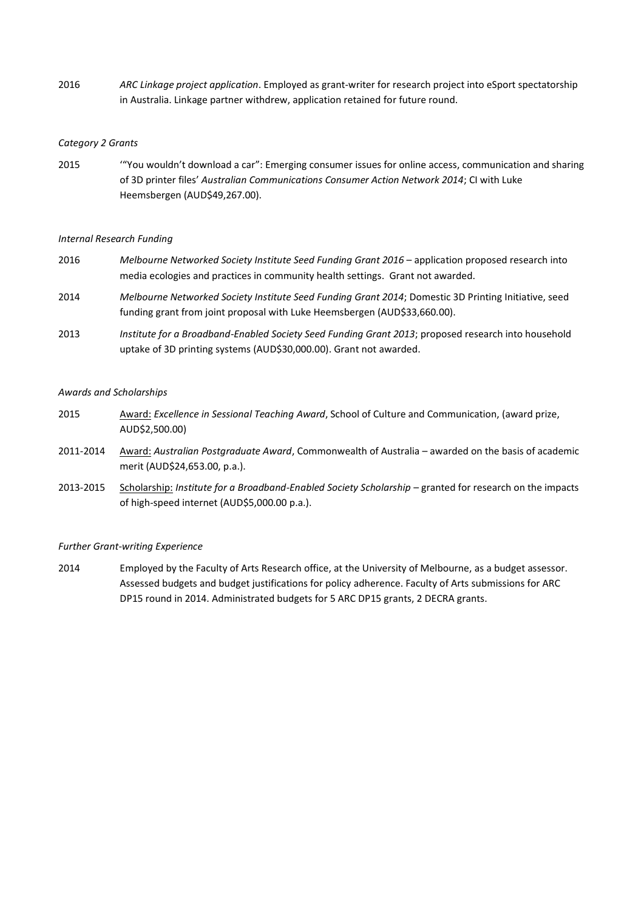2016 *ARC Linkage project application*. Employed as grant-writer for research project into eSport spectatorship in Australia. Linkage partner withdrew, application retained for future round.

### *Category 2 Grants*

2015 '"You wouldn't download a car": Emerging consumer issues for online access, communication and sharing of 3D printer files' *Australian Communications Consumer Action Network 2014*; CI with Luke Heemsbergen (AUD\$49,267.00).

### *Internal Research Funding*

- 2016 *Melbourne Networked Society Institute Seed Funding Grant 2016* application proposed research into media ecologies and practices in community health settings. Grant not awarded.
- 2014 *Melbourne Networked Society Institute Seed Funding Grant 2014*; Domestic 3D Printing Initiative, seed funding grant from joint proposal with Luke Heemsbergen (AUD\$33,660.00).
- 2013 *Institute for a Broadband-Enabled Society Seed Funding Grant 2013*; proposed research into household uptake of 3D printing systems (AUD\$30,000.00). Grant not awarded.

### *Awards and Scholarships*

- 2015 Award: *Excellence in Sessional Teaching Award*, School of Culture and Communication, (award prize, AUD\$2,500.00)
- 2011-2014 Award: *Australian Postgraduate Award*, Commonwealth of Australia awarded on the basis of academic merit (AUD\$24,653.00, p.a.).
- 2013-2015 Scholarship: *Institute for a Broadband-Enabled Society Scholarship* granted for research on the impacts of high-speed internet (AUD\$5,000.00 p.a.).

### *Further Grant-writing Experience*

2014 Employed by the Faculty of Arts Research office, at the University of Melbourne, as a budget assessor. Assessed budgets and budget justifications for policy adherence. Faculty of Arts submissions for ARC DP15 round in 2014. Administrated budgets for 5 ARC DP15 grants, 2 DECRA grants.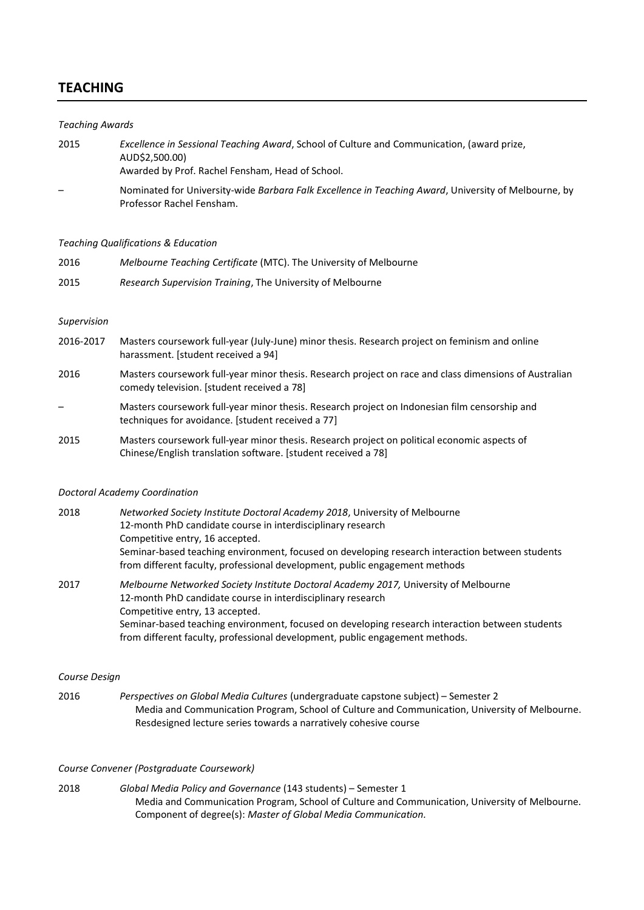# **TEACHING**

# *Teaching Awards*  2015 *Excellence in Sessional Teaching Award*, School of Culture and Communication, (award prize, AUD\$2,500.00) Awarded by Prof. Rachel Fensham, Head of School. – Nominated for University-wide *Barbara Falk Excellence in Teaching Award*, University of Melbourne, by Professor Rachel Fensham.

#### *Teaching Qualifications & Education*

| 2016 | Melbourne Teaching Certificate (MTC). The University of Melbourne |
|------|-------------------------------------------------------------------|
| 2015 | Research Supervision Training, The University of Melbourne        |

#### *Supervision*

- 2016-2017 Masters coursework full-year (July-June) minor thesis. Research project on feminism and online harassment. [student received a 94] 2016 Masters coursework full-year minor thesis. Research project on race and class dimensions of Australian comedy television. [student received a 78] – Masters coursework full-year minor thesis. Research project on Indonesian film censorship and techniques for avoidance. [student received a 77]
- 2015 Masters coursework full-year minor thesis. Research project on political economic aspects of Chinese/English translation software. [student received a 78]

#### *Doctoral Academy Coordination*

| 2018 | Networked Society Institute Doctoral Academy 2018, University of Melbourne                      |
|------|-------------------------------------------------------------------------------------------------|
|      | 12-month PhD candidate course in interdisciplinary research                                     |
|      | Competitive entry, 16 accepted.                                                                 |
|      | Seminar-based teaching environment, focused on developing research interaction between students |
|      | from different faculty, professional development, public engagement methods                     |
| 2017 | Malbourne Networked Cosiety Institute Destaral Asademy 2017 University of Malbourne             |

2017 *Melbourne Networked Society Institute Doctoral Academy 2017,* University of Melbourne 12-month PhD candidate course in interdisciplinary research Competitive entry, 13 accepted. Seminar-based teaching environment, focused on developing research interaction between students from different faculty, professional development, public engagement methods.

#### *Course Design*

2016 *Perspectives on Global Media Cultures* (undergraduate capstone subject) – Semester 2 Media and Communication Program, School of Culture and Communication, University of Melbourne. Resdesigned lecture series towards a narratively cohesive course

#### *Course Convener (Postgraduate Coursework)*

2018 *Global Media Policy and Governance* (143 students) – Semester 1 Media and Communication Program, School of Culture and Communication, University of Melbourne. Component of degree(s): *Master of Global Media Communication.*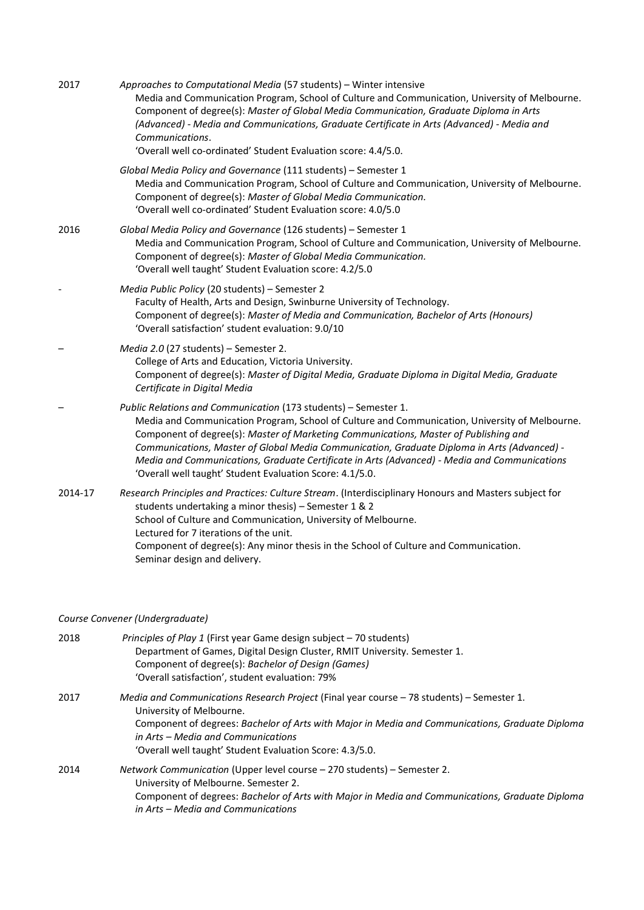| 2017    | Approaches to Computational Media (57 students) - Winter intensive<br>Media and Communication Program, School of Culture and Communication, University of Melbourne.<br>Component of degree(s): Master of Global Media Communication, Graduate Diploma in Arts<br>(Advanced) - Media and Communications, Graduate Certificate in Arts (Advanced) - Media and<br>Communications.<br>'Overall well co-ordinated' Student Evaluation score: 4.4/5.0.                                                                    |
|---------|----------------------------------------------------------------------------------------------------------------------------------------------------------------------------------------------------------------------------------------------------------------------------------------------------------------------------------------------------------------------------------------------------------------------------------------------------------------------------------------------------------------------|
|         | Global Media Policy and Governance (111 students) - Semester 1<br>Media and Communication Program, School of Culture and Communication, University of Melbourne.<br>Component of degree(s): Master of Global Media Communication.<br>'Overall well co-ordinated' Student Evaluation score: 4.0/5.0                                                                                                                                                                                                                   |
| 2016    | Global Media Policy and Governance (126 students) - Semester 1<br>Media and Communication Program, School of Culture and Communication, University of Melbourne.<br>Component of degree(s): Master of Global Media Communication.<br>'Overall well taught' Student Evaluation score: 4.2/5.0                                                                                                                                                                                                                         |
|         | Media Public Policy (20 students) - Semester 2<br>Faculty of Health, Arts and Design, Swinburne University of Technology.<br>Component of degree(s): Master of Media and Communication, Bachelor of Arts (Honours)<br>'Overall satisfaction' student evaluation: 9.0/10                                                                                                                                                                                                                                              |
|         | Media 2.0 (27 students) - Semester 2.<br>College of Arts and Education, Victoria University.<br>Component of degree(s): Master of Digital Media, Graduate Diploma in Digital Media, Graduate<br>Certificate in Digital Media                                                                                                                                                                                                                                                                                         |
|         | Public Relations and Communication (173 students) - Semester 1.<br>Media and Communication Program, School of Culture and Communication, University of Melbourne.<br>Component of degree(s): Master of Marketing Communications, Master of Publishing and<br>Communications, Master of Global Media Communication, Graduate Diploma in Arts (Advanced) -<br>Media and Communications, Graduate Certificate in Arts (Advanced) - Media and Communications<br>'Overall well taught' Student Evaluation Score: 4.1/5.0. |
| 2014-17 | Research Principles and Practices: Culture Stream. (Interdisciplinary Honours and Masters subject for<br>students undertaking a minor thesis) - Semester 1 & 2<br>School of Culture and Communication, University of Melbourne.<br>Lectured for 7 iterations of the unit.<br>Component of degree(s): Any minor thesis in the School of Culture and Communication.<br>Seminar design and delivery.                                                                                                                    |

# *Course Convener (Undergraduate)*

| 2018 | Principles of Play 1 (First year Game design subject - 70 students)                                                                   |
|------|---------------------------------------------------------------------------------------------------------------------------------------|
|      | Department of Games, Digital Design Cluster, RMIT University. Semester 1.                                                             |
|      | Component of degree(s): Bachelor of Design (Games)                                                                                    |
|      | 'Overall satisfaction', student evaluation: 79%                                                                                       |
| 2017 | Media and Communications Research Project (Final year course – 78 students) – Semester 1.<br>University of Melbourne.                 |
|      | Component of degrees: Bachelor of Arts with Major in Media and Communications, Graduate Diploma<br>in Arts – Media and Communications |
|      | 'Overall well taught' Student Evaluation Score: 4.3/5.0.                                                                              |
| 2014 | Network Communication (Upper level course - 270 students) - Semester 2.<br>University of Melbourne. Semester 2.                       |
|      | Component of degrees: Bachelor of Arts with Major in Media and Communications, Graduate Diploma<br>in Arts – Media and Communications |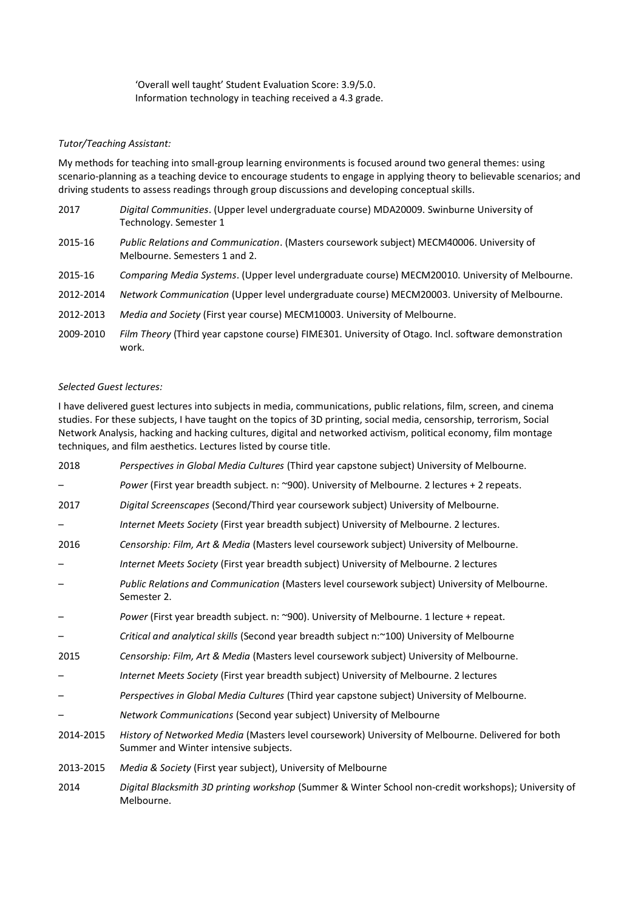'Overall well taught' Student Evaluation Score: 3.9/5.0. Information technology in teaching received a 4.3 grade.

### *Tutor/Teaching Assistant:*

My methods for teaching into small-group learning environments is focused around two general themes: using scenario-planning as a teaching device to encourage students to engage in applying theory to believable scenarios; and driving students to assess readings through group discussions and developing conceptual skills.

- 2017 *Digital Communities*. (Upper level undergraduate course) MDA20009. Swinburne University of Technology. Semester 1
- 2015-16 *Public Relations and Communication*. (Masters coursework subject) MECM40006. University of Melbourne. Semesters 1 and 2.
- 2015-16 *Comparing Media Systems*. (Upper level undergraduate course) MECM20010. University of Melbourne.
- 2012-2014 *Network Communication* (Upper level undergraduate course) MECM20003. University of Melbourne.
- 2012-2013 *Media and Society* (First year course) MECM10003. University of Melbourne.
- 2009-2010 *Film Theory* (Third year capstone course) FIME301. University of Otago. Incl. software demonstration work.

#### *Selected Guest lectures:*

I have delivered guest lectures into subjects in media, communications, public relations, film, screen, and cinema studies. For these subjects, I have taught on the topics of 3D printing, social media, censorship, terrorism, Social Network Analysis, hacking and hacking cultures, digital and networked activism, political economy, film montage techniques, and film aesthetics. Lectures listed by course title.

| 2018      | Perspectives in Global Media Cultures (Third year capstone subject) University of Melbourne.                                               |
|-----------|--------------------------------------------------------------------------------------------------------------------------------------------|
|           | Power (First year breadth subject. n: ~900). University of Melbourne. 2 lectures + 2 repeats.                                              |
| 2017      | Digital Screenscapes (Second/Third year coursework subject) University of Melbourne.                                                       |
|           | Internet Meets Society (First year breadth subject) University of Melbourne. 2 lectures.                                                   |
| 2016      | Censorship: Film, Art & Media (Masters level coursework subject) University of Melbourne.                                                  |
|           | Internet Meets Society (First year breadth subject) University of Melbourne. 2 lectures                                                    |
|           | Public Relations and Communication (Masters level coursework subject) University of Melbourne.<br>Semester 2.                              |
|           | Power (First year breadth subject. n: ~900). University of Melbourne. 1 lecture + repeat.                                                  |
|           | Critical and analytical skills (Second year breadth subject n:~100) University of Melbourne                                                |
| 2015      | Censorship: Film, Art & Media (Masters level coursework subject) University of Melbourne.                                                  |
|           | Internet Meets Society (First year breadth subject) University of Melbourne. 2 lectures                                                    |
|           | Perspectives in Global Media Cultures (Third year capstone subject) University of Melbourne.                                               |
|           | Network Communications (Second year subject) University of Melbourne                                                                       |
| 2014-2015 | History of Networked Media (Masters level coursework) University of Melbourne. Delivered for both<br>Summer and Winter intensive subjects. |
| 2013-2015 | Media & Society (First year subject), University of Melbourne                                                                              |
| 2014      | Digital Blacksmith 3D printing workshop (Summer & Winter School non-credit workshops); University of                                       |

Melbourne.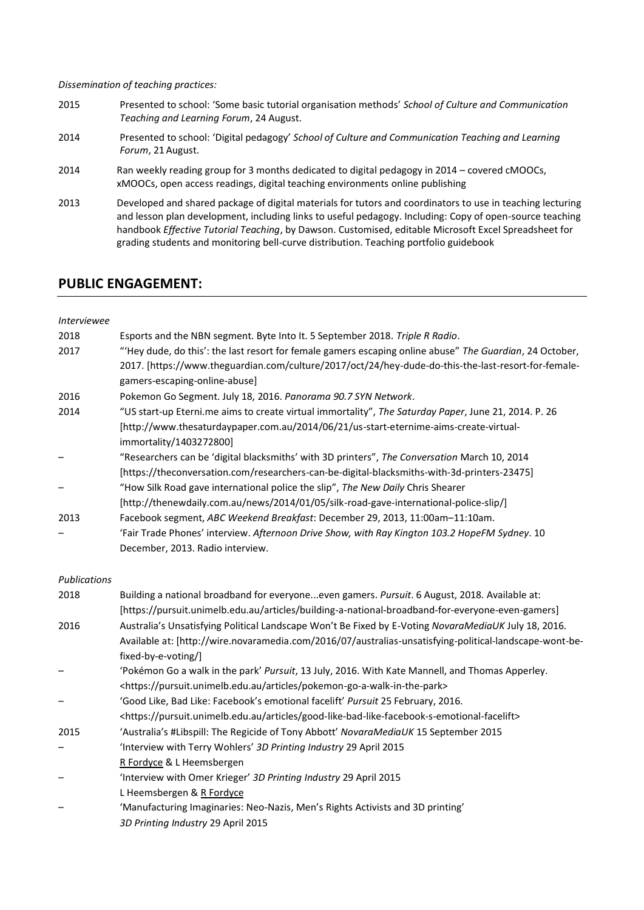*Dissemination of teaching practices:*

- 2015 Presented to school: 'Some basic tutorial organisation methods' *School of Culture and Communication Teaching and Learning Forum*, 24 August.
- 2014 Presented to school: 'Digital pedagogy' *School of Culture and Communication Teaching and Learning Forum*, 21 August.
- 2014 Ran weekly reading group for 3 months dedicated to digital pedagogy in 2014 covered cMOOCs, xMOOCs, open access readings, digital teaching environments online publishing
- 2013 Developed and shared package of digital materials for tutors and coordinators to use in teaching lecturing and lesson plan development, including links to useful pedagogy. Including: Copy of open-source teaching handbook *Effective Tutorial Teaching*, by Dawson. Customised, editable Microsoft Excel Spreadsheet for grading students and monitoring bell-curve distribution. Teaching portfolio guidebook

# **PUBLIC ENGAGEMENT:**

| <i>Interviewee</i> |                                                                                                             |
|--------------------|-------------------------------------------------------------------------------------------------------------|
| 2018               | Esports and the NBN segment. Byte Into It. 5 September 2018. Triple R Radio.                                |
| 2017               | "Hey dude, do this': the last resort for female gamers escaping online abuse" The Guardian, 24 October,     |
|                    | 2017. [https://www.theguardian.com/culture/2017/oct/24/hey-dude-do-this-the-last-resort-for-female-         |
|                    | gamers-escaping-online-abuse]                                                                               |
| 2016               | Pokemon Go Segment. July 18, 2016. Panorama 90.7 SYN Network.                                               |
| 2014               | "US start-up Eterni.me aims to create virtual immortality", The Saturday Paper, June 21, 2014. P. 26        |
|                    | [http://www.thesaturdaypaper.com.au/2014/06/21/us-start-eternime-aims-create-virtual-                       |
|                    | immortality/1403272800]                                                                                     |
|                    | "Researchers can be 'digital blacksmiths' with 3D printers", The Conversation March 10, 2014                |
|                    | [https://theconversation.com/researchers-can-be-digital-blacksmiths-with-3d-printers-23475]                 |
|                    | "How Silk Road gave international police the slip", The New Daily Chris Shearer                             |
|                    | [http://thenewdaily.com.au/news/2014/01/05/silk-road-gave-international-police-slip/]                       |
| 2013               | Facebook segment, ABC Weekend Breakfast: December 29, 2013, 11:00am-11:10am.                                |
|                    | 'Fair Trade Phones' interview. Afternoon Drive Show, with Ray Kington 103.2 HopeFM Sydney. 10               |
|                    | December, 2013. Radio interview.                                                                            |
|                    |                                                                                                             |
|                    |                                                                                                             |
| Publications       |                                                                                                             |
| 2018               | Building a national broadband for everyoneeven gamers. Pursuit. 6 August, 2018. Available at:               |
|                    | [https://pursuit.unimelb.edu.au/articles/building-a-national-broadband-for-everyone-even-gamers]            |
| 2016               | Australia's Unsatisfying Political Landscape Won't Be Fixed by E-Voting NovaraMediaUK July 18, 2016.        |
|                    | Available at: [http://wire.novaramedia.com/2016/07/australias-unsatisfying-political-landscape-wont-be-     |
|                    | fixed-by-e-voting/]                                                                                         |
|                    | 'Pokémon Go a walk in the park' Pursuit, 13 July, 2016. With Kate Mannell, and Thomas Apperley.             |
|                    | <https: articles="" pokemon-go-a-walk-in-the-park="" pursuit.unimelb.edu.au=""></https:>                    |
|                    | 'Good Like, Bad Like: Facebook's emotional facelift' Pursuit 25 February, 2016.                             |
|                    | <https: articles="" good-like-bad-like-facebook-s-emotional-facelift="" pursuit.unimelb.edu.au=""></https:> |
| 2015               | 'Australia's #Libspill: The Regicide of Tony Abbott' NovaraMediaUK 15 September 2015                        |
|                    | 'Interview with Terry Wohlers' 3D Printing Industry 29 April 2015                                           |
|                    | R Fordyce & L Heemsbergen                                                                                   |
|                    | 'Interview with Omer Krieger' 3D Printing Industry 29 April 2015                                            |
|                    | L Heemsbergen & R Fordyce                                                                                   |
|                    | 'Manufacturing Imaginaries: Neo-Nazis, Men's Rights Activists and 3D printing'                              |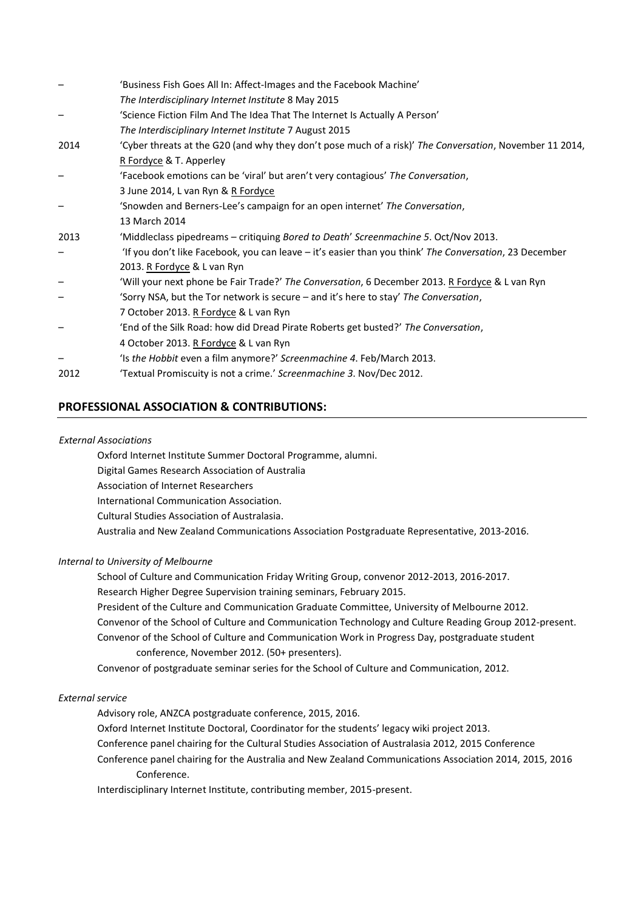|      | 'Business Fish Goes All In: Affect-Images and the Facebook Machine'                                     |
|------|---------------------------------------------------------------------------------------------------------|
|      | The Interdisciplinary Internet Institute 8 May 2015                                                     |
|      | 'Science Fiction Film And The Idea That The Internet Is Actually A Person'                              |
|      | The Interdisciplinary Internet Institute 7 August 2015                                                  |
| 2014 | 'Cyber threats at the G20 (and why they don't pose much of a risk)' The Conversation, November 11 2014, |
|      | R Fordyce & T. Apperley                                                                                 |
|      | 'Facebook emotions can be 'viral' but aren't very contagious' The Conversation,                         |
|      | 3 June 2014, L van Ryn & R Fordyce                                                                      |
|      | 'Snowden and Berners-Lee's campaign for an open internet' The Conversation,                             |
|      | 13 March 2014                                                                                           |
| 2013 | 'Middleclass pipedreams - critiquing Bored to Death' Screenmachine 5. Oct/Nov 2013.                     |
|      | If you don't like Facebook, you can leave – it's easier than you think' The Conversation, 23 December   |
|      | 2013. R Fordyce & L van Ryn                                                                             |
|      | 'Will your next phone be Fair Trade?' The Conversation, 6 December 2013. R Fordyce & L van Ryn          |
|      | 'Sorry NSA, but the Tor network is secure - and it's here to stay' The Conversation,                    |
|      | 7 October 2013. R Fordyce & L van Ryn                                                                   |
|      | 'End of the Silk Road: how did Dread Pirate Roberts get busted?' The Conversation,                      |
|      | 4 October 2013. R Fordyce & L van Ryn                                                                   |
|      | 'Is the Hobbit even a film anymore?' Screenmachine 4. Feb/March 2013.                                   |
| 2012 | 'Textual Promiscuity is not a crime.' Screenmachine 3. Nov/Dec 2012.                                    |

# **PROFESSIONAL ASSOCIATION & CONTRIBUTIONS:**

#### *External Associations*

Oxford Internet Institute Summer Doctoral Programme, alumni. Digital Games Research Association of Australia Association of Internet Researchers International Communication Association. Cultural Studies Association of Australasia. Australia and New Zealand Communications Association Postgraduate Representative, 2013-2016.

# *Internal to University of Melbourne*

School of Culture and Communication Friday Writing Group, convenor 2012-2013, 2016-2017.

Research Higher Degree Supervision training seminars, February 2015.

President of the Culture and Communication Graduate Committee, University of Melbourne 2012. Convenor of the School of Culture and Communication Technology and Culture Reading Group 2012-present. Convenor of the School of Culture and Communication Work in Progress Day, postgraduate student conference, November 2012. (50+ presenters).

Convenor of postgraduate seminar series for the School of Culture and Communication, 2012.

#### *External service*

Advisory role, ANZCA postgraduate conference, 2015, 2016.

Oxford Internet Institute Doctoral, Coordinator for the students' legacy wiki project 2013.

Conference panel chairing for the Cultural Studies Association of Australasia 2012, 2015 Conference

Conference panel chairing for the Australia and New Zealand Communications Association 2014, 2015, 2016 Conference.

Interdisciplinary Internet Institute, contributing member, 2015-present.